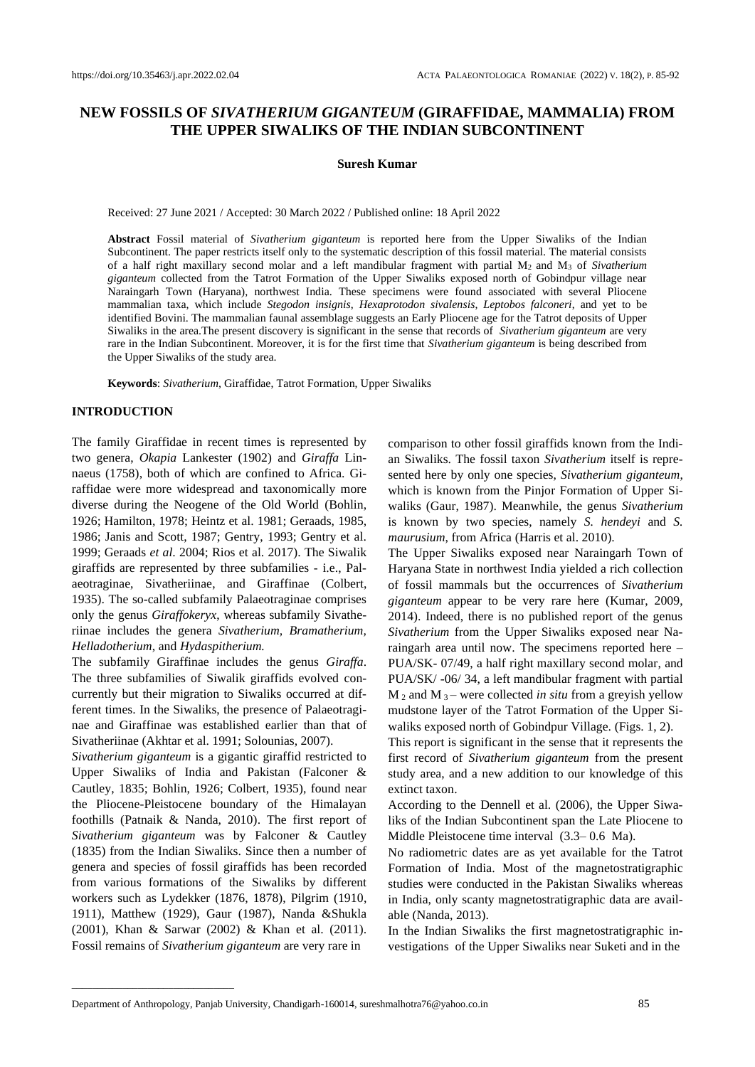# **NEW FOSSILS OF** *SIVATHERIUM GIGANTEUM* **(GIRAFFIDAE, MAMMALIA) FROM THE UPPER SIWALIKS OF THE INDIAN SUBCONTINENT**

#### **Suresh Kumar**

Received: 27 June 2021 / Accepted: 30 March 2022 / Published online: 18 April 2022

**Abstract** Fossil material of *Sivatherium giganteum* is reported here from the Upper Siwaliks of the Indian Subcontinent. The paper restricts itself only to the systematic description of this fossil material. The material consists of a half right maxillary second molar and a left mandibular fragment with partial M2 and M<sup>3</sup> of *Sivatherium giganteum* collected from the Tatrot Formation of the Upper Siwaliks exposed north of Gobindpur village near Naraingarh Town (Haryana), northwest India. These specimens were found associated with several Pliocene mammalian taxa, which include *Stegodon insignis*, *Hexaprotodon sivalensis*, *Leptobos falconeri*, and yet to be identified Bovini. The mammalian faunal assemblage suggests an Early Pliocene age for the Tatrot deposits of Upper Siwaliks in the area.The present discovery is significant in the sense that records of *Sivatherium giganteum* are very rare in the Indian Subcontinent. Moreover, it is for the first time that *Sivatherium giganteum* is being described from the Upper Siwaliks of the study area.

**Keywords**: *Sivatherium*, Giraffidae, Tatrot Formation, Upper Siwaliks

# **INTRODUCTION**

The family Giraffidae in recent times is represented by two genera, *Okapia* Lankester (1902) and *Giraffa* Linnaeus (1758), both of which are confined to Africa. Giraffidae were more widespread and taxonomically more diverse during the Neogene of the Old World (Bohlin, 1926; Hamilton, 1978; Heintz et al. 1981; Geraads, 1985, 1986; Janis and Scott, 1987; Gentry, 1993; Gentry et al. 1999; Geraads *et al*. 2004; Rios et al. 2017). The Siwalik giraffids are represented by three subfamilies - i.e., Palaeotraginae, Sivatheriinae, and Giraffinae (Colbert, 1935). The so-called subfamily Palaeotraginae comprises only the genus *Giraffokeryx*, whereas subfamily Sivatheriinae includes the genera *Sivatherium, Bramatherium, Helladotherium*, and *Hydaspitherium.* 

The subfamily Giraffinae includes the genus *Giraffa*. The three subfamilies of Siwalik giraffids evolved concurrently but their migration to Siwaliks occurred at different times. In the Siwaliks, the presence of Palaeotraginae and Giraffinae was established earlier than that of Sivatheriinae (Akhtar et al. 1991; Solounias, 2007).

*Sivatherium giganteum* is a gigantic giraffid restricted to Upper Siwaliks of India and Pakistan (Falconer & Cautley, 1835; Bohlin, 1926; Colbert, 1935), found near the Pliocene-Pleistocene boundary of the Himalayan foothills (Patnaik & Nanda, 2010). The first report of *Sivatherium giganteum* was by Falconer & Cautley (1835) from the Indian Siwaliks. Since then a number of genera and species of fossil giraffids has been recorded from various formations of the Siwaliks by different workers such as Lydekker (1876, 1878), Pilgrim (1910, 1911), Matthew (1929), Gaur (1987), Nanda &Shukla (2001), Khan & Sarwar (2002) & Khan et al. (2011). Fossil remains of *Sivatherium giganteum* are very rare in

\_\_\_\_\_\_\_\_\_\_\_\_\_\_\_\_\_\_\_\_\_\_\_\_\_\_\_\_\_\_\_\_

comparison to other fossil giraffids known from the Indian Siwaliks. The fossil taxon *Sivatherium* itself is represented here by only one species, *Sivatherium giganteum*, which is known from the Pinjor Formation of Upper Siwaliks (Gaur, 1987). Meanwhile, the genus *Sivatherium* is known by two species, namely *S. hendeyi* and *S. maurusium*, from Africa (Harris et al. 2010).

The Upper Siwaliks exposed near Naraingarh Town of Haryana State in northwest India yielded a rich collection of fossil mammals but the occurrences of *Sivatherium giganteum* appear to be very rare here (Kumar, 2009, 2014). Indeed, there is no published report of the genus *Sivatherium* from the Upper Siwaliks exposed near Naraingarh area until now. The specimens reported here – PUA/SK- 07/49, a half right maxillary second molar, and PUA/SK/ -06/ 34, a left mandibular fragment with partial M <sup>2</sup> and M <sup>3</sup> – were collected *in situ* from a greyish yellow mudstone layer of the Tatrot Formation of the Upper Siwaliks exposed north of Gobindpur Village. (Figs. 1, 2).

This report is significant in the sense that it represents the first record of *Sivatherium giganteum* from the present study area, and a new addition to our knowledge of this extinct taxon.

According to the Dennell et al. (2006), the Upper Siwaliks of the Indian Subcontinent span the Late Pliocene to Middle Pleistocene time interval (3.3– 0.6 Ma).

No radiometric dates are as yet available for the Tatrot Formation of India. Most of the magnetostratigraphic studies were conducted in the Pakistan Siwaliks whereas in India, only scanty magnetostratigraphic data are available (Nanda, 2013).

In the Indian Siwaliks the first magnetostratigraphic investigations of the Upper Siwaliks near Suketi and in the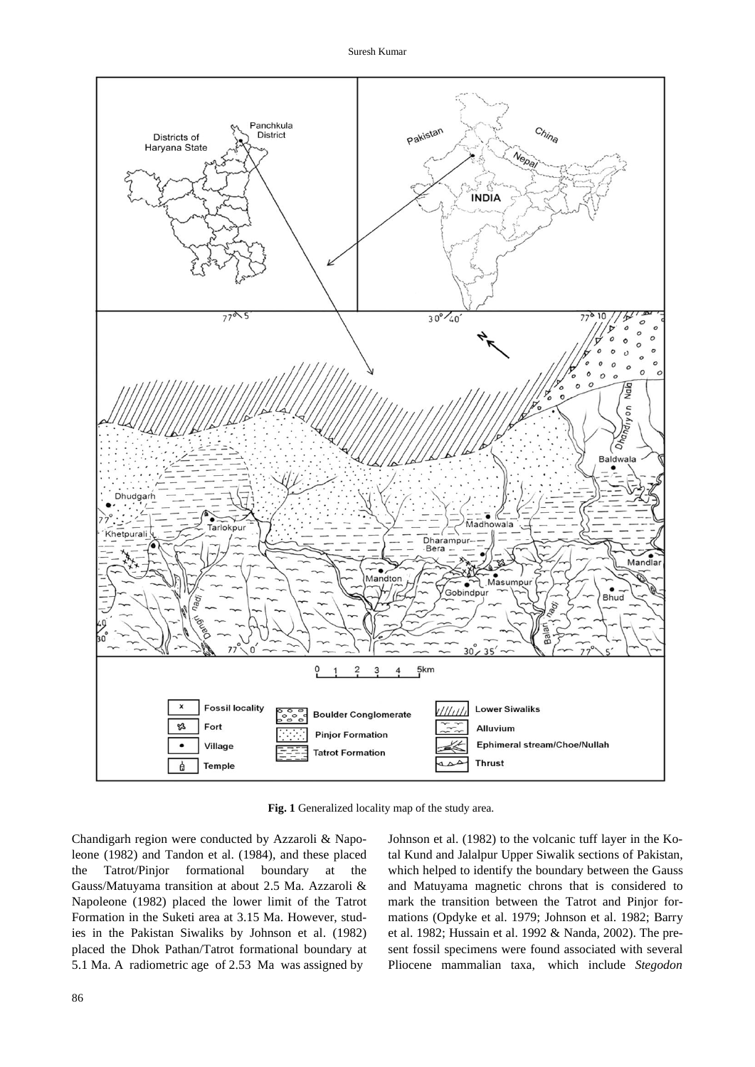

**Fig. 1** Generalized locality map of the study area.

Chandigarh region were conducted by Azzaroli & Napoleone (1982) and Tandon et al. (1984), and these placed the Tatrot/Pinjor formational boundary at the Gauss/Matuyama transition at about 2.5 Ma. Azzaroli & Napoleone (1982) placed the lower limit of the Tatrot Formation in the Suketi area at 3.15 Ma. However, studies in the Pakistan Siwaliks by Johnson et al. (1982) placed the Dhok Pathan/Tatrot formational boundary at 5.1 Ma. A radiometric age of 2.53 Ma was assigned by

Johnson et al. (1982) to the volcanic tuff layer in the Kotal Kund and Jalalpur Upper Siwalik sections of Pakistan, which helped to identify the boundary between the Gauss and Matuyama magnetic chrons that is considered to mark the transition between the Tatrot and Pinjor formations (Opdyke et al. 1979; Johnson et al. 1982; Barry et al. 1982; Hussain et al. 1992 & Nanda, 2002). The present fossil specimens were found associated with several Pliocene mammalian taxa, which include *Stegodon*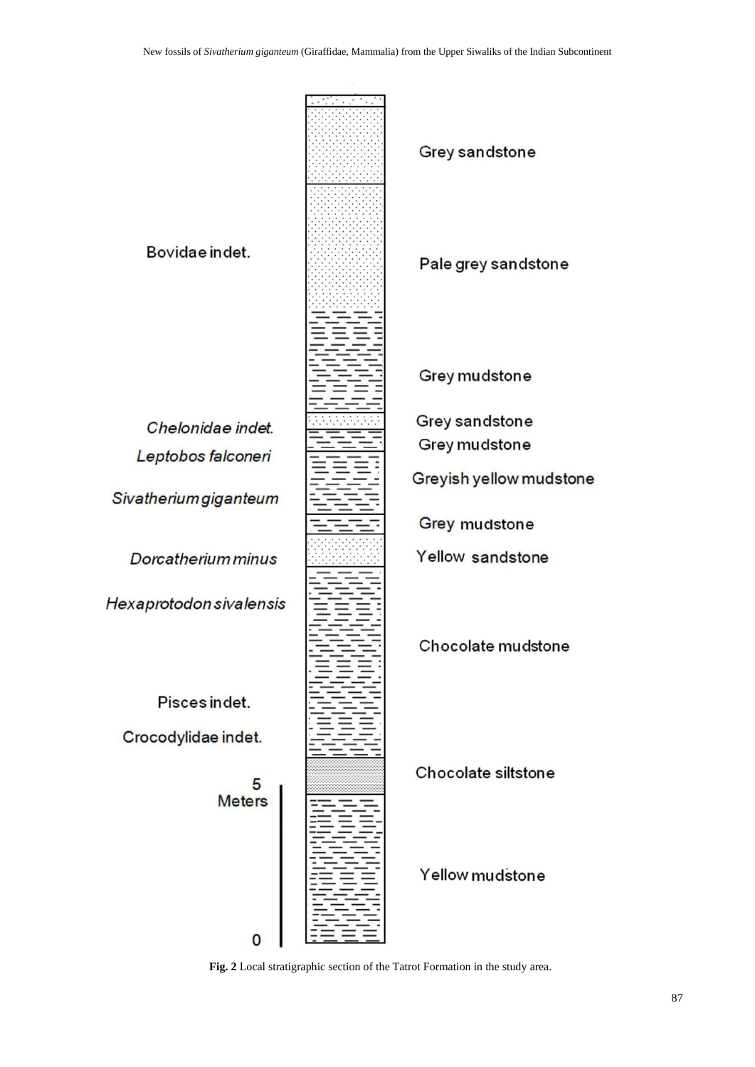

**Fig. 2** Local stratigraphic section of the Tatrot Formation in the study area.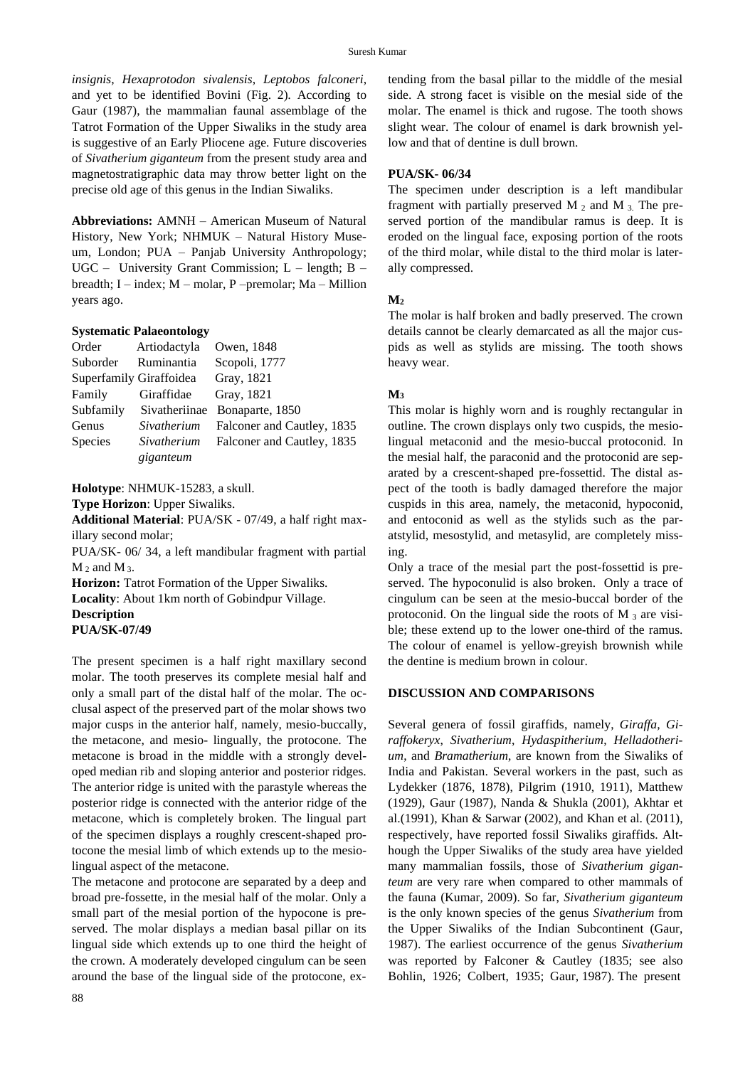*insignis*, *Hexaprotodon sivalensis*, *Leptobos falconeri*, and yet to be identified Bovini (Fig. 2)*.* According to Gaur (1987), the mammalian faunal assemblage of the Tatrot Formation of the Upper Siwaliks in the study area is suggestive of an Early Pliocene age. Future discoveries of *Sivatherium giganteum* from the present study area and magnetostratigraphic data may throw better light on the precise old age of this genus in the Indian Siwaliks.

**Abbreviations:** AMNH – American Museum of Natural History, New York; NHMUK – Natural History Museum, London; PUA – Panjab University Anthropology; UGC – University Grant Commission; L – length; B – breadth; I – index; M – molar, P –premolar; Ma – Million years ago.

#### **Systematic Palaeontology**

| Order          | Artiodactyla            | Owen, 1848                 |
|----------------|-------------------------|----------------------------|
| Suborder       | Ruminantia              | Scopoli, 1777              |
|                | Superfamily Giraffoidea | Gray, 1821                 |
| Family         | Giraffidae              | Gray, 1821                 |
| Subfamily      | Sivatheriinae           | Bonaparte, 1850            |
| Genus          | Sivatherium             | Falconer and Cautley, 1835 |
| <b>Species</b> | Sivatherium             | Falconer and Cautley, 1835 |
|                | giganteum               |                            |

**Holotype**: NHMUK-15283, a skull.

**Type Horizon**: Upper Siwaliks.

**Additional Material**: PUA/SK - 07/49, a half right maxillary second molar;

PUA/SK- 06/ 34, a left mandibular fragment with partial  $M_2$  and  $M_3$ .

**Horizon:** Tatrot Formation of the Upper Siwaliks. **Locality**: About 1km north of Gobindpur Village.

**Description** 

# **PUA/SK-07/49**

The present specimen is a half right maxillary second molar. The tooth preserves its complete mesial half and only a small part of the distal half of the molar. The occlusal aspect of the preserved part of the molar shows two major cusps in the anterior half, namely, mesio-buccally, the metacone, and mesio- lingually, the protocone. The metacone is broad in the middle with a strongly developed median rib and sloping anterior and posterior ridges. The anterior ridge is united with the parastyle whereas the posterior ridge is connected with the anterior ridge of the metacone, which is completely broken. The lingual part of the specimen displays a roughly crescent-shaped protocone the mesial limb of which extends up to the mesiolingual aspect of the metacone.

The metacone and protocone are separated by a deep and broad pre-fossette, in the mesial half of the molar. Only a small part of the mesial portion of the hypocone is preserved. The molar displays a median basal pillar on its lingual side which extends up to one third the height of the crown. A moderately developed cingulum can be seen around the base of the lingual side of the protocone, extending from the basal pillar to the middle of the mesial side. A strong facet is visible on the mesial side of the molar. The enamel is thick and rugose. The tooth shows slight wear. The colour of enamel is dark brownish yellow and that of dentine is dull brown.

#### **PUA/SK- 06/34**

The specimen under description is a left mandibular fragment with partially preserved M  $_2$  and M  $_3$ . The preserved portion of the mandibular ramus is deep. It is eroded on the lingual face, exposing portion of the roots of the third molar, while distal to the third molar is laterally compressed.

#### **M<sup>2</sup>**

The molar is half broken and badly preserved. The crown details cannot be clearly demarcated as all the major cuspids as well as stylids are missing. The tooth shows heavy wear.

## **M<sup>3</sup>**

This molar is highly worn and is roughly rectangular in outline. The crown displays only two cuspids, the mesiolingual metaconid and the mesio-buccal protoconid. In the mesial half, the paraconid and the protoconid are separated by a crescent-shaped pre-fossettid. The distal aspect of the tooth is badly damaged therefore the major cuspids in this area, namely, the metaconid, hypoconid, and entoconid as well as the stylids such as the paratstylid, mesostylid, and metasylid, are completely missing.

Only a trace of the mesial part the post-fossettid is preserved. The hypoconulid is also broken. Only a trace of cingulum can be seen at the mesio-buccal border of the protoconid. On the lingual side the roots of M  $_3$  are visible; these extend up to the lower one-third of the ramus. The colour of enamel is yellow-greyish brownish while the dentine is medium brown in colour.

#### **DISCUSSION AND COMPARISONS**

Several genera of fossil giraffids, namely, *Giraffa, Giraffokeryx*, *Sivatherium*, *Hydaspitherium*, *Helladotherium*, and *Bramatherium*, are known from the Siwaliks of India and Pakistan. Several workers in the past, such as Lydekker (1876, 1878), Pilgrim (1910, 1911), Matthew (1929), Gaur (1987), Nanda & Shukla (2001), Akhtar et al.(1991), Khan & Sarwar (2002), and Khan et al. (2011), respectively, have reported fossil Siwaliks giraffids. Although the Upper Siwaliks of the study area have yielded many mammalian fossils, those of *Sivatherium giganteum* are very rare when compared to other mammals of the fauna (Kumar, 2009). So far, *Sivatherium giganteum* is the only known species of the genus *Sivatherium* from the Upper Siwaliks of the Indian Subcontinent (Gaur, 1987). The earliest occurrence of the genus *Sivatherium* was reported by Falconer & Cautley (1835; see also Bohlin, 1926; Colbert, 1935; Gaur, 1987). The present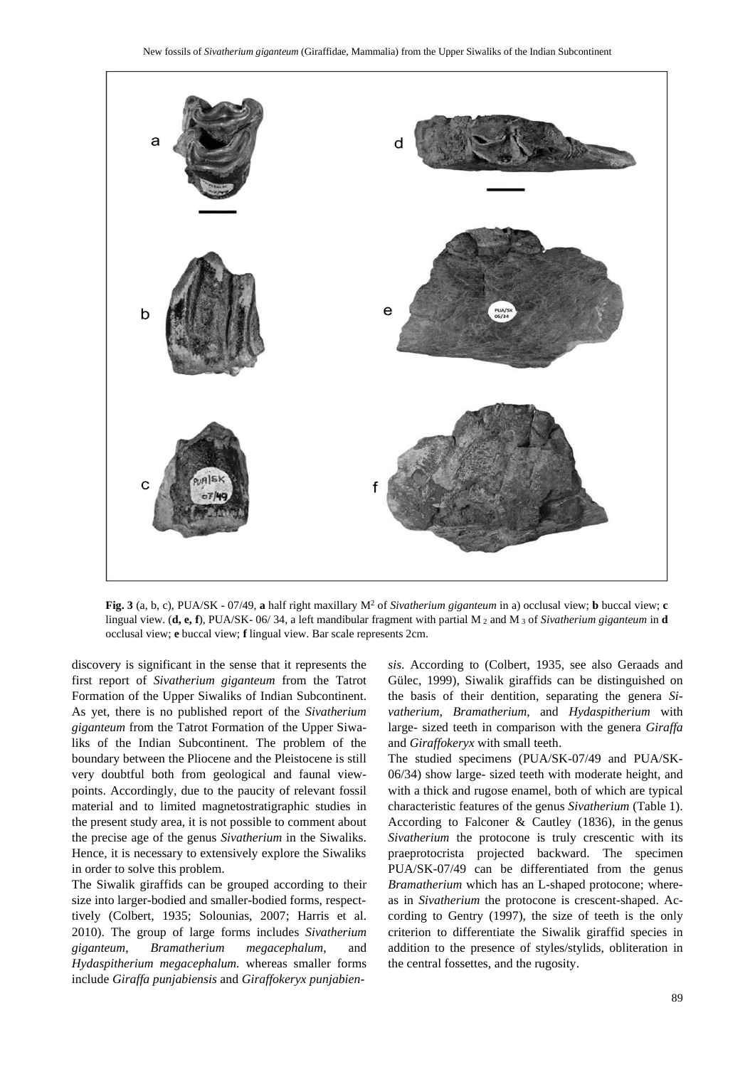

**Fig.** 3 (a, b, c), PUA/SK - 07/49, **a** half right maxillary  $M^2$  of *Sivatherium giganteum* in a) occlusal view; **b** buccal view; **c** lingual view. (**d, e, f**), PUA/SK- 06/ 34, a left mandibular fragment with partial M <sup>2</sup> and M <sup>3</sup> of *Sivatherium giganteum* in **d** occlusal view; **e** buccal view; **f** lingual view. Bar scale represents 2cm.

discovery is significant in the sense that it represents the first report of *Sivatherium giganteum* from the Tatrot Formation of the Upper Siwaliks of Indian Subcontinent. As yet, there is no published report of the *Sivatherium giganteum* from the Tatrot Formation of the Upper Siwaliks of the Indian Subcontinent. The problem of the boundary between the Pliocene and the Pleistocene is still very doubtful both from geological and faunal viewpoints. Accordingly, due to the paucity of relevant fossil material and to limited magnetostratigraphic studies in the present study area, it is not possible to comment about the precise age of the genus *Sivatherium* in the Siwaliks. Hence, it is necessary to extensively explore the Siwaliks in order to solve this problem.

The Siwalik giraffids can be grouped according to their size into larger-bodied and smaller-bodied forms, respecttively (Colbert, 1935; Solounias, 2007; Harris et al. 2010). The group of large forms includes *Sivatherium giganteum*, *Bramatherium megacephalum*, and *Hydaspitherium megacephalum.* whereas smaller forms include *Giraffa punjabiensis* and *Giraffokeryx punjabien-* *sis*. According to (Colbert, 1935, see also Geraads and Gülec, 1999), Siwalik giraffids can be distinguished on the basis of their dentition, separating the genera *Sivatherium, Bramatherium,* and *Hydaspitherium* with large- sized teeth in comparison with the genera *Giraffa* and *Giraffokeryx* with small teeth.

The studied specimens (PUA/SK-07/49 and PUA/SK-06/34) show large- sized teeth with moderate height, and with a thick and rugose enamel, both of which are typical characteristic features of the genus *Sivatherium* (Table 1). According to Falconer & Cautley (1836), in the genus *Sivatherium* the protocone is truly crescentic with its praeprotocrista projected backward. The specimen PUA/SK-07/49 can be differentiated from the genus *Bramatherium* which has an L-shaped protocone; whereas in *Sivatherium* the protocone is crescent-shaped. According to Gentry (1997), the size of teeth is the only criterion to differentiate the Siwalik giraffid species in addition to the presence of styles/stylids, obliteration in the central fossettes, and the rugosity.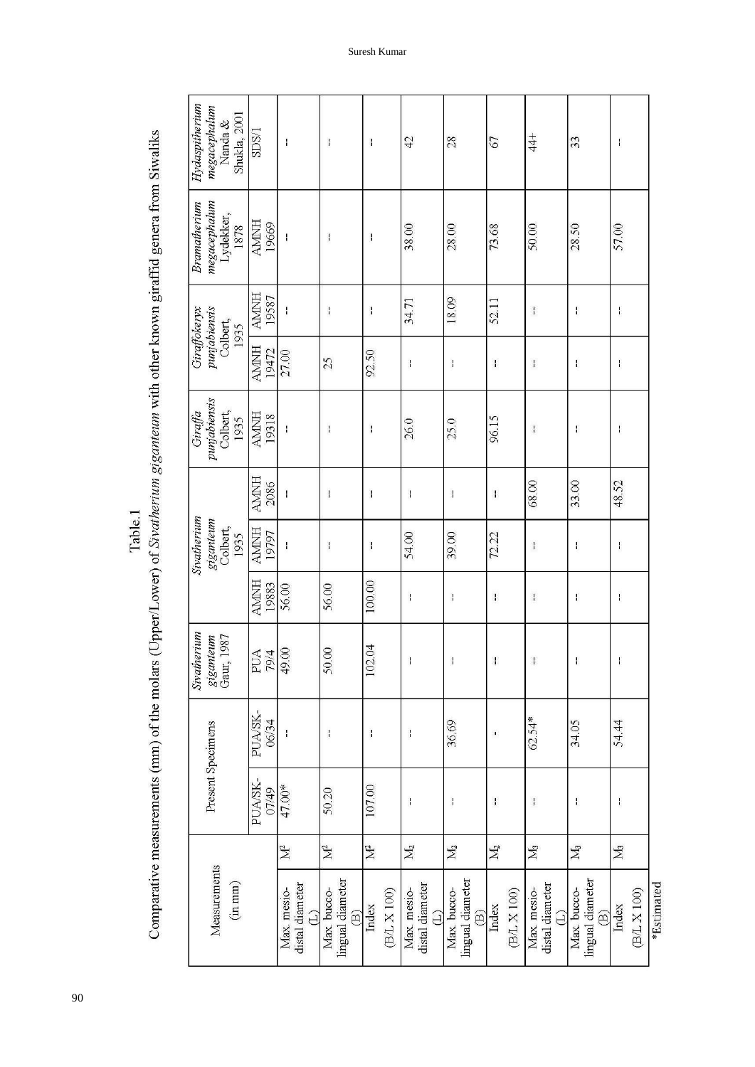| Hydaspitherium<br>megacephalum<br>Nanda &<br>Shukla, 2001 | SDS/1                                                          | Ŧ                                            | ł                                                         | $\mathbf{I}$         | 42                                                                                                                                                                                                                                                                                                                                                                               | 28                                                        | 2                    | $rac{4}{4}$                                  | 33                                                        | ł                    |            |
|-----------------------------------------------------------|----------------------------------------------------------------|----------------------------------------------|-----------------------------------------------------------|----------------------|----------------------------------------------------------------------------------------------------------------------------------------------------------------------------------------------------------------------------------------------------------------------------------------------------------------------------------------------------------------------------------|-----------------------------------------------------------|----------------------|----------------------------------------------|-----------------------------------------------------------|----------------------|------------|
| megacephatum<br>Bramatherium<br>Lydekker, $1878$          | $\begin{array}{c} \text{AMH} \\ \text{HMM} \end{array}$        |                                              | ł                                                         | $\mathbf{I}$         | 38.00                                                                                                                                                                                                                                                                                                                                                                            | 28.00                                                     | 73.68                | 50.00                                        | 28.50                                                     | 57.00                |            |
|                                                           | <b>AMNH</b><br>19587                                           | $\mathbf{I}$                                 | $\mathbf{I}$                                              | $\mathbf{I}$         | 34.71                                                                                                                                                                                                                                                                                                                                                                            | 18.09                                                     | 52.11                | $\frac{1}{1}$                                | ł                                                         | $\frac{1}{1}$        |            |
| punjabiensis<br>Giraffokeryx<br>Colbert,<br>1935          | <b>AMNH</b><br>19472                                           | 27.00                                        | 25                                                        | 92.50                | $\mathbf{I}$                                                                                                                                                                                                                                                                                                                                                                     | $\frac{1}{1}$                                             | $\mathbf{I}$         | $\mathbf{I}$                                 | ł                                                         | ł                    |            |
| punjabiensis<br>Giraffa<br>Colbert,<br>1935               | $\begin{array}{c} \mathrm{WWH} \\ \mathrm{HMH} \\ \end{array}$ | ł                                            | $\mathbf{I}$                                              | $\mathbf{I}$         | 26.0                                                                                                                                                                                                                                                                                                                                                                             | 25.0                                                      | 96.15                | $\mathbf{I}$                                 | ŧ                                                         | ł                    |            |
|                                                           | <b>AMNH</b><br>2086                                            | $\mathsf I$                                  | $\mathbf{I}$                                              | $\mathbf{I}$         | $\mathsf I$                                                                                                                                                                                                                                                                                                                                                                      | $\mathbf{I}$                                              | $\pmb{\cdot}$        | 68.00                                        | 33.00                                                     | 48.52                |            |
| Sivatherium<br>giganteum<br>Colbert,<br>1935              | $\frac{\text{AMHI}}{\text{19797}}$                             | $\mathsf{I}$                                 | $\mathbf{I}$                                              | $\mathbf{I}$         | 54.00                                                                                                                                                                                                                                                                                                                                                                            | 39.00                                                     | 72.22                | $\pmb{\cdot}$                                | ł                                                         | ł                    |            |
|                                                           | <b>AMNH</b><br>19883                                           | 56.00                                        | 56.00                                                     | 100.00               | $\mathbf{I}$                                                                                                                                                                                                                                                                                                                                                                     | $\mathbf{I}$                                              | $\mathbf{I}$         | $\mathbf{I}$                                 | ŧ                                                         | ł                    |            |
| Sivatherium<br>giganteum<br>Gaur, 1987                    | PUA<br>79/4                                                    | 49.00                                        | 50.00                                                     | 102.04               | $\mathbf{I}$                                                                                                                                                                                                                                                                                                                                                                     | $\mathbf{I}$                                              | $\mathbf{I}$         | $\mathbf{I}$                                 | ł                                                         | $\mathbf{I}$         |            |
| PUA/SK-<br>Present Specimens<br>PUASK-                    | 06/34                                                          |                                              | $\mathbf{i}$                                              | $\mathbf{I}$         | $\begin{array}{c} \rule{0pt}{2.5ex} \rule{0pt}{2.5ex} \rule{0pt}{2.5ex} \rule{0pt}{2.5ex} \rule{0pt}{2.5ex} \rule{0pt}{2.5ex} \rule{0pt}{2.5ex} \rule{0pt}{2.5ex} \rule{0pt}{2.5ex} \rule{0pt}{2.5ex} \rule{0pt}{2.5ex} \rule{0pt}{2.5ex} \rule{0pt}{2.5ex} \rule{0pt}{2.5ex} \rule{0pt}{2.5ex} \rule{0pt}{2.5ex} \rule{0pt}{2.5ex} \rule{0pt}{2.5ex} \rule{0pt}{2.5ex} \rule{0$ | 36.69                                                     | $\mathbf I$          | 62.54*                                       | 34.05                                                     | 54.44                |            |
|                                                           | 07/49                                                          | 47.00*                                       | 50.20                                                     | 107.00               | $\mathbf{I}$                                                                                                                                                                                                                                                                                                                                                                     | $\mathbf{I}$                                              | $\mathbf{I}$         | $\mathbf{I}$                                 | ł                                                         | $\pmb{\cdot}$        |            |
|                                                           |                                                                | $\mathbb{M}^2$                               | $\mathbb{M}^2$                                            | $\mathbb{N}^2$       | $\mathbf{M}_2$                                                                                                                                                                                                                                                                                                                                                                   | $\rm M_2$                                                 | $\rm M_2$            | $\rm M_{3}$                                  | $\mathbb{M}_3$                                            | M <sub>3</sub>       |            |
| Measurements<br>$($ in mm $)$                             |                                                                | distal diameter<br>Max. mesio-<br>$\bigcirc$ | lingual diameter<br>Max. bucco-<br>$\widehat{\mathbb{B}}$ | (B/L X 100)<br>Index | distal diameter<br>Max. mesio-<br>$\bigcirc$                                                                                                                                                                                                                                                                                                                                     | lingual diameter<br>Max. bucco-<br>$\widehat{\mathbb{B}}$ | (B/L X 100)<br>Index | distal diameter<br>Max. mesio-<br>$\bigcirc$ | lingual diameter<br>Max. bucco-<br>$\widehat{\mathbf{B}}$ | (B/L X 100)<br>Index | *Estimated |

Comparative measurements (mm) of the molars (Upper/Lower) of Sivatherium giganteum with other known giraffid genera from Siwaliks Table.1

Suresh Kumar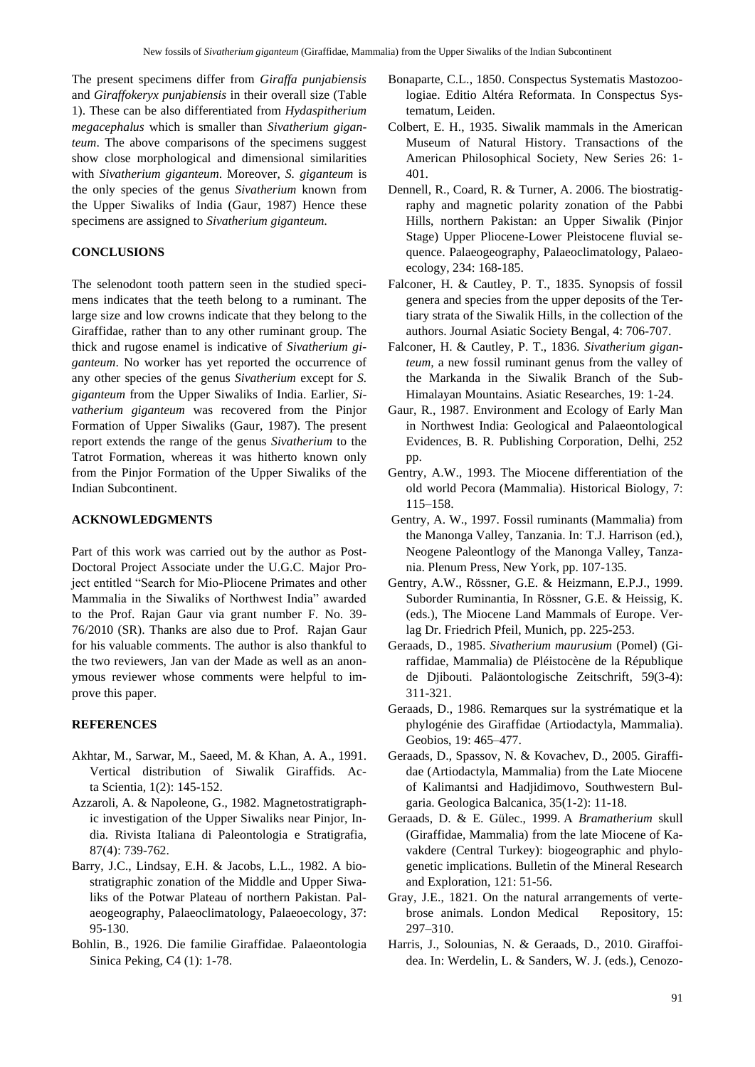The present specimens differ from *Giraffa punjabiensis* and *Giraffokeryx punjabiensis* in their overall size (Table 1). These can be also differentiated from *Hydaspitherium megacephalus* which is smaller than *Sivatherium giganteum*. The above comparisons of the specimens suggest show close morphological and dimensional similarities with *Sivatherium giganteum*. Moreover, *S. giganteum* is the only species of the genus *Sivatherium* known from the Upper Siwaliks of India (Gaur, 1987) Hence these specimens are assigned to *Sivatherium giganteum.*

## **CONCLUSIONS**

The selenodont tooth pattern seen in the studied specimens indicates that the teeth belong to a ruminant. The large size and low crowns indicate that they belong to the Giraffidae, rather than to any other ruminant group. The thick and rugose enamel is indicative of *Sivatherium giganteum*. No worker has yet reported the occurrence of any other species of the genus *Sivatherium* except for *S. giganteum* from the Upper Siwaliks of India. Earlier, *Sivatherium giganteum* was recovered from the Pinjor Formation of Upper Siwaliks (Gaur, 1987). The present report extends the range of the genus *Sivatherium* to the Tatrot Formation, whereas it was hitherto known only from the Pinjor Formation of the Upper Siwaliks of the Indian Subcontinent.

# **ACKNOWLEDGMENTS**

Part of this work was carried out by the author as Post-Doctoral Project Associate under the U.G.C. Major Project entitled "Search for Mio-Pliocene Primates and other Mammalia in the Siwaliks of Northwest India" awarded to the Prof. Rajan Gaur via grant number F. No. 39- 76/2010 (SR). Thanks are also due to Prof. Rajan Gaur for his valuable comments. The author is also thankful to the two reviewers, Jan van der Made as well as an anonymous reviewer whose comments were helpful to improve this paper.

#### **REFERENCES**

- Akhtar, M., Sarwar, M., Saeed, M. & Khan, A. A., 1991. Vertical distribution of Siwalik Giraffids. Acta Scientia, 1(2): 145-152.
- Azzaroli, A. & Napoleone, G., 1982. Magnetostratigraphic investigation of the Upper Siwaliks near Pinjor, India. Rivista Italiana di Paleontologia e Stratigrafia, 87(4): 739-762.
- Barry, J.C., Lindsay, E.H. & Jacobs, L.L., 1982. A biostratigraphic zonation of the Middle and Upper Siwaliks of the Potwar Plateau of northern Pakistan. Palaeogeography, Palaeoclimatology, Palaeoecology, 37: 95-130.
- Bohlin, B., 1926. Die familie Giraffidae. Palaeontologia Sinica Peking, C4 (1): 1-78.
- Bonaparte, C.L., 1850. Conspectus Systematis Mastozoologiae. Editio Altéra Reformata. In Conspectus Systematum, Leiden.
- Colbert, E. H., 1935. Siwalik mammals in the American Museum of Natural History. Transactions of the American Philosophical Society, New Series 26: 1- 401.
- Dennell, R., Coard, R. & Turner, A. 2006. The biostratigraphy and magnetic polarity zonation of the Pabbi Hills, northern Pakistan: an Upper Siwalik (Pinjor Stage) Upper Pliocene-Lower Pleistocene fluvial sequence. Palaeogeography, Palaeoclimatology, Palaeoecology, 234: 168-185.
- Falconer, H. & Cautley, P. T., 1835. Synopsis of fossil genera and species from the upper deposits of the Tertiary strata of the Siwalik Hills, in the collection of the authors. Journal Asiatic Society Bengal, 4: 706-707.
- Falconer, H. & Cautley, P. T., 1836. *Sivatherium giganteum,* a new fossil ruminant genus from the valley of the Markanda in the Siwalik Branch of the Sub-Himalayan Mountains. Asiatic Researches, 19: 1-24.
- Gaur, R., 1987. Environment and Ecology of Early Man in Northwest India: Geological and Palaeontological Evidence*s*, B. R. Publishing Corporation, Delhi, 252 pp.
- Gentry, A.W., 1993. The Miocene differentiation of the old world Pecora (Mammalia). Historical Biology, 7: 115–158.
- Gentry, A. W., 1997. Fossil ruminants (Mammalia) from the Manonga Valley, Tanzania. In: T.J. Harrison (ed.), Neogene Paleontlogy of the Manonga Valley, Tanzania. Plenum Press, New York, pp. 107-135.
- Gentry, A.W., Rössner, G.E. & Heizmann, E.P.J., 1999. Suborder Ruminantia, In Rössner, G.E. & Heissig, K. (eds.), The Miocene Land Mammals of Europe. Verlag Dr. Friedrich Pfeil, Munich, pp. 225-253.
- Geraads, D., 1985. *Sivatherium maurusium* (Pomel) (Giraffidae, Mammalia) de Pléistocène de la République de Djibouti. Paläontologische Zeitschrift, 59(3-4): 311-321.
- Geraads, D., 1986. Remarques sur la systrématique et la phylogénie des Giraffidae (Artiodactyla, Mammalia). Geobios, 19: 465–477.
- Geraads, D., Spassov, N. & Kovachev, D., 2005. Giraffidae (Artiodactyla, Mammalia) from the Late Miocene of Kalimantsi and Hadjidimovo, Southwestern Bulgaria. Geologica Balcanica, 35(1-2): 11-18.
- Geraads, D. & E. Gülec., 1999. A *Bramatherium* skull (Giraffidae, Mammalia) from the late Miocene of Kavakdere (Central Turkey): biogeographic and phylogenetic implications. Bulletin of the Mineral Research and Exploration, 121: 51-56.
- Gray, J.E., 1821. On the natural arrangements of vertebrose animals. London MedicalRepository, 15: 297–310.
- Harris, J., Solounias, N. & Geraads, D., 2010. Giraffoidea. In: Werdelin, L. & Sanders, W. J. (eds.), Cenozo-